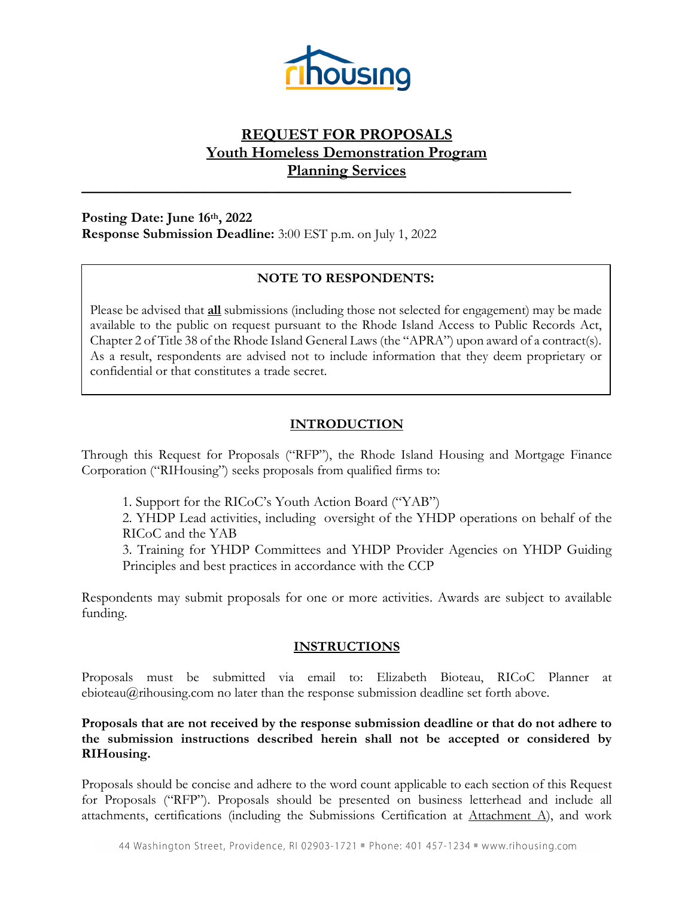

# **REQUEST FOR PROPOSALS Youth Homeless Demonstration Program Planning Services**

**\_\_\_\_\_\_\_\_\_\_\_\_\_\_\_\_\_\_\_\_\_\_\_\_\_\_\_\_\_\_\_\_\_\_\_\_\_\_\_\_\_\_\_\_\_\_\_\_\_\_\_\_\_\_\_\_\_\_\_\_\_\_\_\_\_\_\_\_\_\_\_\_**

**Posting Date: June 16th, 2022 Response Submission Deadline:** 3:00 EST p.m. on July 1, 2022

# **NOTE TO RESPONDENTS:**

Please be advised that **all** submissions (including those not selected for engagement) may be made available to the public on request pursuant to the Rhode Island Access to Public Records Act, Chapter 2 of Title 38 of the Rhode Island General Laws (the "APRA") upon award of a contract(s). As a result, respondents are advised not to include information that they deem proprietary or confidential or that constitutes a trade secret.

# **INTRODUCTION**

Through this Request for Proposals ("RFP"), the Rhode Island Housing and Mortgage Finance Corporation ("RIHousing") seeks proposals from qualified firms to:

1. Support for the RICoC's Youth Action Board ("YAB")

2. YHDP Lead activities, including oversight of the YHDP operations on behalf of the RICoC and the YAB

3. Training for YHDP Committees and YHDP Provider Agencies on YHDP Guiding Principles and best practices in accordance with the CCP

Respondents may submit proposals for one or more activities. Awards are subject to available funding.

# **INSTRUCTIONS**

Proposals must be submitted via email to: Elizabeth Bioteau, RICoC Planner at ebioteau@rihousing.com no later than the response submission deadline set forth above.

### **Proposals that are not received by the response submission deadline or that do not adhere to the submission instructions described herein shall not be accepted or considered by RIHousing.**

Proposals should be concise and adhere to the word count applicable to each section of this Request for Proposals ("RFP"). Proposals should be presented on business letterhead and include all attachments, certifications (including the Submissions Certification at Attachment A), and work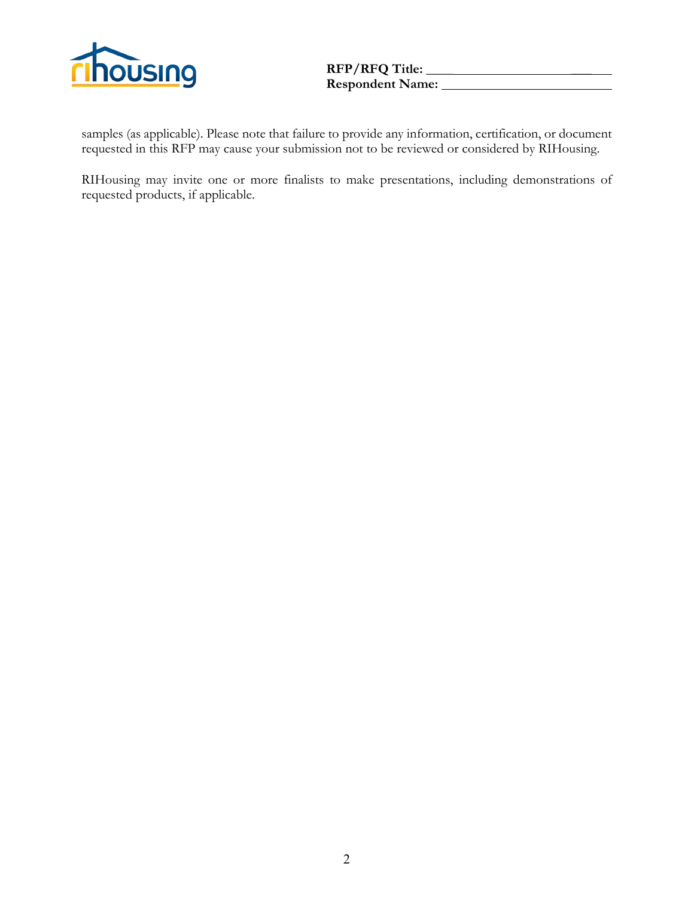

samples (as applicable). Please note that failure to provide any information, certification, or document requested in this RFP may cause your submission not to be reviewed or considered by RIHousing.

RIHousing may invite one or more finalists to make presentations, including demonstrations of requested products, if applicable.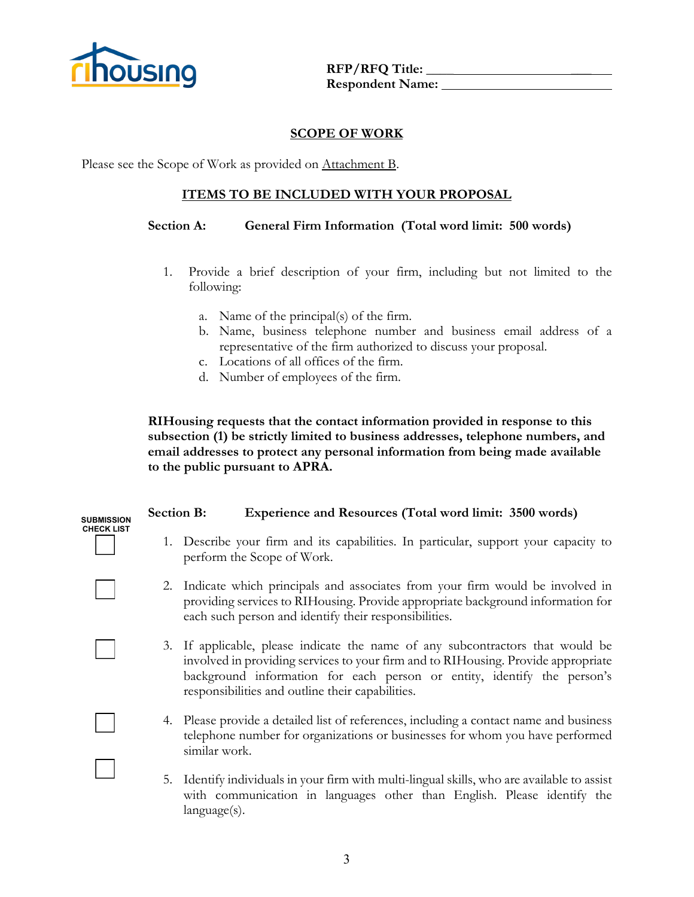

### **SCOPE OF WORK**

Please see the Scope of Work as provided on Attachment B.

### **ITEMS TO BE INCLUDED WITH YOUR PROPOSAL**

#### **Section A: General Firm Information (Total word limit: 500 words)**

- 1. Provide a brief description of your firm, including but not limited to the following:
	- a. Name of the principal(s) of the firm.
	- b. Name, business telephone number and business email address of a representative of the firm authorized to discuss your proposal.
	- c. Locations of all offices of the firm.
	- d. Number of employees of the firm.

**RIHousing requests that the contact information provided in response to this subsection (1) be strictly limited to business addresses, telephone numbers, and email addresses to protect any personal information from being made available to the public pursuant to APRA.** 

# **Section B: Experience and Resources (Total word limit: 3500 words)**



- 1. Describe your firm and its capabilities. In particular, support your capacity to perform the Scope of Work.
- 2. Indicate which principals and associates from your firm would be involved in providing services to RIHousing. Provide appropriate background information for each such person and identify their responsibilities.
- 3. If applicable, please indicate the name of any subcontractors that would be involved in providing services to your firm and to RIHousing. Provide appropriate background information for each person or entity, identify the person's responsibilities and outline their capabilities.
- 4. Please provide a detailed list of references, including a contact name and business telephone number for organizations or businesses for whom you have performed similar work.
- 5. Identify individuals in your firm with multi-lingual skills, who are available to assist with communication in languages other than English. Please identify the language(s).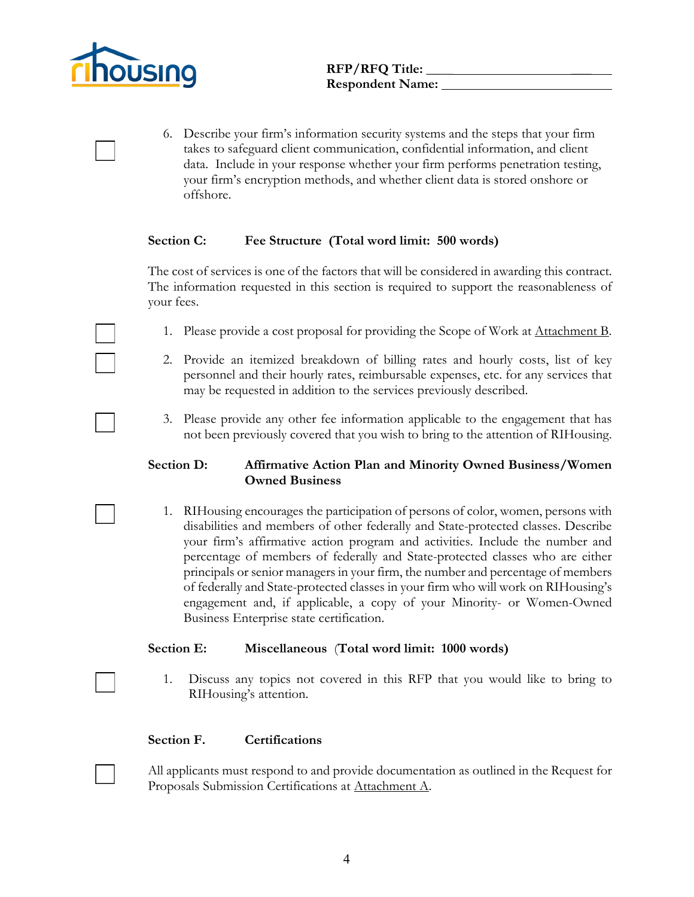

6. Describe your firm's information security systems and the steps that your firm takes to safeguard client communication, confidential information, and client data. Include in your response whether your firm performs penetration testing, your firm's encryption methods, and whether client data is stored onshore or offshore.

#### **Section C: Fee Structure (Total word limit: 500 words)**

The cost of services is one of the factors that will be considered in awarding this contract. The information requested in this section is required to support the reasonableness of your fees.

- 1. Please provide a cost proposal for providing the Scope of Work at Attachment B.
- 2. Provide an itemized breakdown of billing rates and hourly costs, list of key personnel and their hourly rates, reimbursable expenses, etc. for any services that may be requested in addition to the services previously described.
- 3. Please provide any other fee information applicable to the engagement that has not been previously covered that you wish to bring to the attention of RIHousing.

#### **Section D: Affirmative Action Plan and Minority Owned Business/Women Owned Business**

1. RIHousing encourages the participation of persons of color, women, persons with disabilities and members of other federally and State-protected classes. Describe your firm's affirmative action program and activities. Include the number and percentage of members of federally and State-protected classes who are either principals or senior managers in your firm, the number and percentage of members of federally and State-protected classes in your firm who will work on RIHousing's engagement and, if applicable, a copy of your Minority- or Women-Owned Business Enterprise state certification.

#### **Section E: Miscellaneous** (**Total word limit: 1000 words)**

1. Discuss any topics not covered in this RFP that you would like to bring to RIHousing's attention.

#### **Section F. Certifications**

All applicants must respond to and provide documentation as outlined in the Request for Proposals Submission Certifications at Attachment A.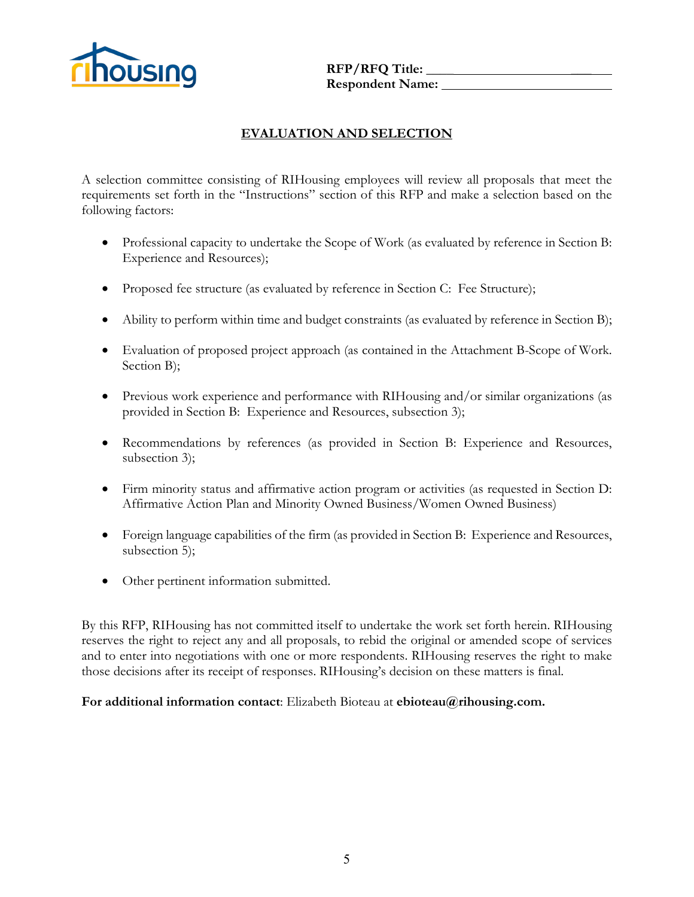

# **EVALUATION AND SELECTION**

A selection committee consisting of RIHousing employees will review all proposals that meet the requirements set forth in the "Instructions" section of this RFP and make a selection based on the following factors:

- Professional capacity to undertake the Scope of Work (as evaluated by reference in Section B: Experience and Resources);
- Proposed fee structure (as evaluated by reference in Section C: Fee Structure);
- Ability to perform within time and budget constraints (as evaluated by reference in Section B);
- Evaluation of proposed project approach (as contained in the Attachment B-Scope of Work. Section B);
- Previous work experience and performance with RIHousing and/or similar organizations (as provided in Section B: Experience and Resources, subsection 3);
- Recommendations by references (as provided in Section B: Experience and Resources, subsection 3);
- Firm minority status and affirmative action program or activities (as requested in Section D: Affirmative Action Plan and Minority Owned Business/Women Owned Business)
- Foreign language capabilities of the firm (as provided in Section B: Experience and Resources, subsection 5);
- Other pertinent information submitted.

By this RFP, RIHousing has not committed itself to undertake the work set forth herein. RIHousing reserves the right to reject any and all proposals, to rebid the original or amended scope of services and to enter into negotiations with one or more respondents. RIHousing reserves the right to make those decisions after its receipt of responses. RIHousing's decision on these matters is final.

#### **For additional information contact**: Elizabeth Bioteau at **ebioteau@rihousing.com.**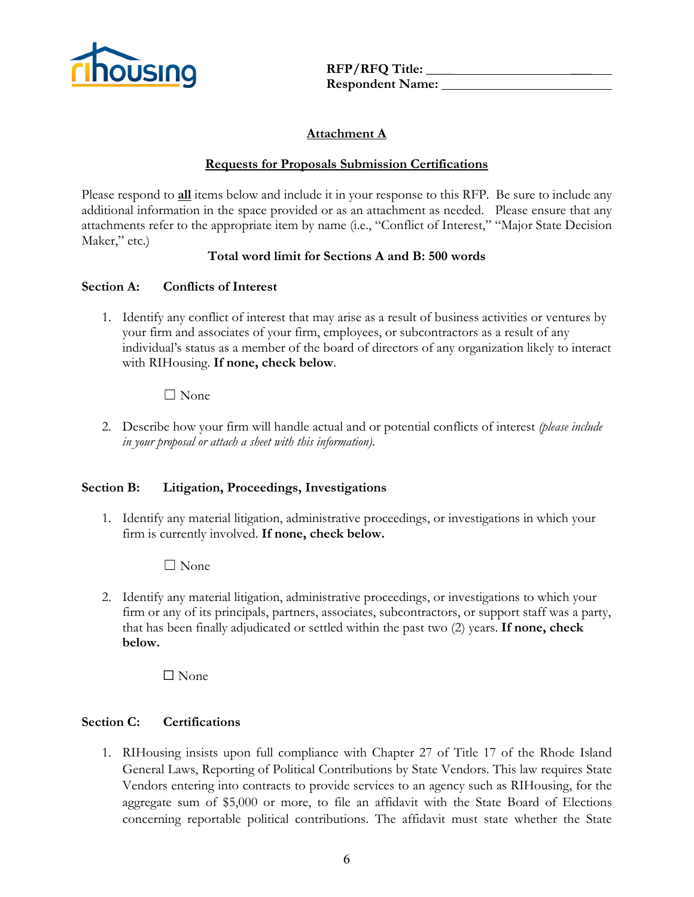

# **Attachment A**

### **Requests for Proposals Submission Certifications**

Please respond to **all** items below and include it in your response to this RFP. Be sure to include any additional information in the space provided or as an attachment as needed. Please ensure that any attachments refer to the appropriate item by name (i.e., "Conflict of Interest," "Major State Decision Maker," etc.)

### **Total word limit for Sections A and B: 500 words**

### **Section A: Conflicts of Interest**

1. Identify any conflict of interest that may arise as a result of business activities or ventures by your firm and associates of your firm, employees, or subcontractors as a result of any individual's status as a member of the board of directors of any organization likely to interact with RIHousing. **If none, check below**.

### $\Box$  None

2. Describe how your firm will handle actual and or potential conflicts of interest *(please include in your proposal or attach a sheet with this information).*

#### **Section B: Litigation, Proceedings, Investigations**

1. Identify any material litigation, administrative proceedings, or investigations in which your firm is currently involved. **If none, check below.**

☐ None

2. Identify any material litigation, administrative proceedings, or investigations to which your firm or any of its principals, partners, associates, subcontractors, or support staff was a party, that has been finally adjudicated or settled within the past two (2) years. **If none, check below.**

 $\Box$  None

# **Section C: Certifications**

1. RIHousing insists upon full compliance with Chapter 27 of Title 17 of the Rhode Island General Laws, Reporting of Political Contributions by State Vendors. This law requires State Vendors entering into contracts to provide services to an agency such as RIHousing, for the aggregate sum of \$5,000 or more, to file an affidavit with the State Board of Elections concerning reportable political contributions. The affidavit must state whether the State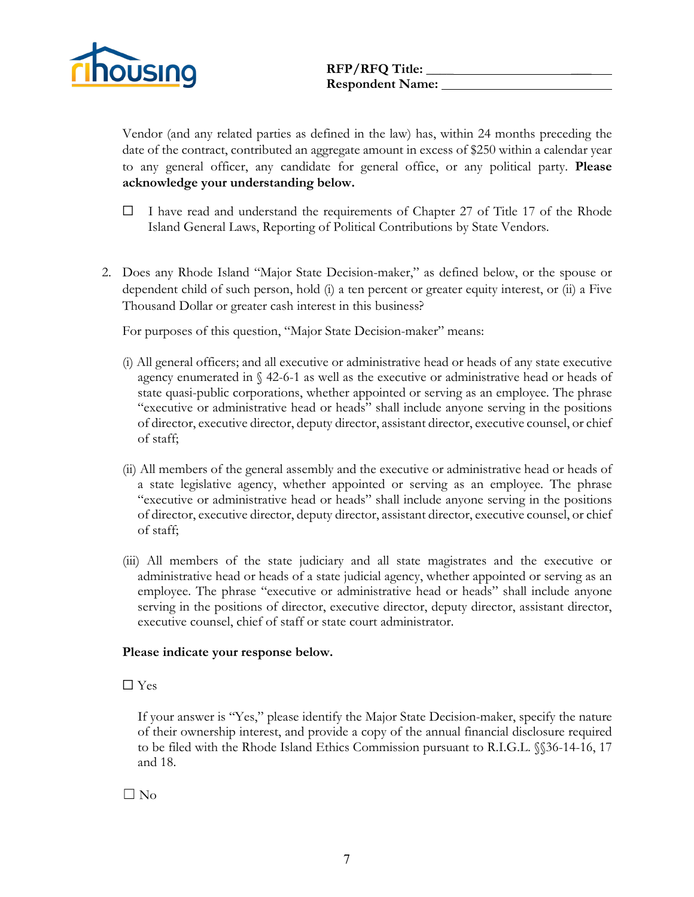

Vendor (and any related parties as defined in the law) has, within 24 months preceding the date of the contract, contributed an aggregate amount in excess of \$250 within a calendar year to any general officer, any candidate for general office, or any political party. **Please acknowledge your understanding below.**

- $\Box$  I have read and understand the requirements of Chapter 27 of Title 17 of the Rhode Island General Laws, Reporting of Political Contributions by State Vendors.
- 2. Does any Rhode Island "Major State Decision-maker," as defined below, or the spouse or dependent child of such person, hold (i) a ten percent or greater equity interest, or (ii) a Five Thousand Dollar or greater cash interest in this business?

For purposes of this question, "Major State Decision-maker" means:

- (i) All general officers; and all executive or administrative head or heads of any state executive agency enumerated in  $\S$  42-6-1 as well as the executive or administrative head or heads of state quasi-public corporations, whether appointed or serving as an employee. The phrase "executive or administrative head or heads" shall include anyone serving in the positions of director, executive director, deputy director, assistant director, executive counsel, or chief of staff;
- (ii) All members of the general assembly and the executive or administrative head or heads of a state legislative agency, whether appointed or serving as an employee. The phrase "executive or administrative head or heads" shall include anyone serving in the positions of director, executive director, deputy director, assistant director, executive counsel, or chief of staff;
- (iii) All members of the state judiciary and all state magistrates and the executive or administrative head or heads of a state judicial agency, whether appointed or serving as an employee. The phrase "executive or administrative head or heads" shall include anyone serving in the positions of director, executive director, deputy director, assistant director, executive counsel, chief of staff or state court administrator.

#### **Please indicate your response below.**

#### ☐ Yes

If your answer is "Yes," please identify the Major State Decision-maker, specify the nature of their ownership interest, and provide a copy of the annual financial disclosure required to be filed with the Rhode Island Ethics Commission pursuant to R.I.G.L. §§36-14-16, 17 and 18.

☐ No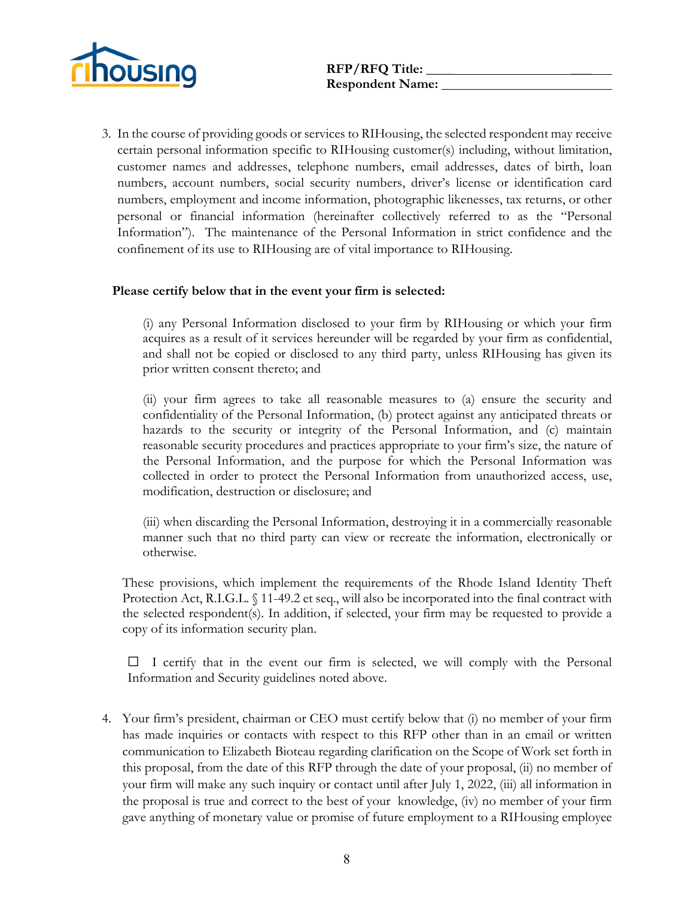

3. In the course of providing goods or services to RIHousing, the selected respondent may receive certain personal information specific to RIHousing customer(s) including, without limitation, customer names and addresses, telephone numbers, email addresses, dates of birth, loan numbers, account numbers, social security numbers, driver's license or identification card numbers, employment and income information, photographic likenesses, tax returns, or other personal or financial information (hereinafter collectively referred to as the "Personal Information"). The maintenance of the Personal Information in strict confidence and the confinement of its use to RIHousing are of vital importance to RIHousing.

#### **Please certify below that in the event your firm is selected:**

(i) any Personal Information disclosed to your firm by RIHousing or which your firm acquires as a result of it services hereunder will be regarded by your firm as confidential, and shall not be copied or disclosed to any third party, unless RIHousing has given its prior written consent thereto; and

(ii) your firm agrees to take all reasonable measures to (a) ensure the security and confidentiality of the Personal Information, (b) protect against any anticipated threats or hazards to the security or integrity of the Personal Information, and (c) maintain reasonable security procedures and practices appropriate to your firm's size, the nature of the Personal Information, and the purpose for which the Personal Information was collected in order to protect the Personal Information from unauthorized access, use, modification, destruction or disclosure; and

(iii) when discarding the Personal Information, destroying it in a commercially reasonable manner such that no third party can view or recreate the information, electronically or otherwise.

These provisions, which implement the requirements of the Rhode Island Identity Theft Protection Act, R.I.G.L. § 11-49.2 et seq., will also be incorporated into the final contract with the selected respondent(s). In addition, if selected, your firm may be requested to provide a copy of its information security plan.

 $\Box$  I certify that in the event our firm is selected, we will comply with the Personal Information and Security guidelines noted above.

4. Your firm's president, chairman or CEO must certify below that (i) no member of your firm has made inquiries or contacts with respect to this RFP other than in an email or written communication to Elizabeth Bioteau regarding clarification on the Scope of Work set forth in this proposal, from the date of this RFP through the date of your proposal, (ii) no member of your firm will make any such inquiry or contact until after July 1, 2022, (iii) all information in the proposal is true and correct to the best of your knowledge, (iv) no member of your firm gave anything of monetary value or promise of future employment to a RIHousing employee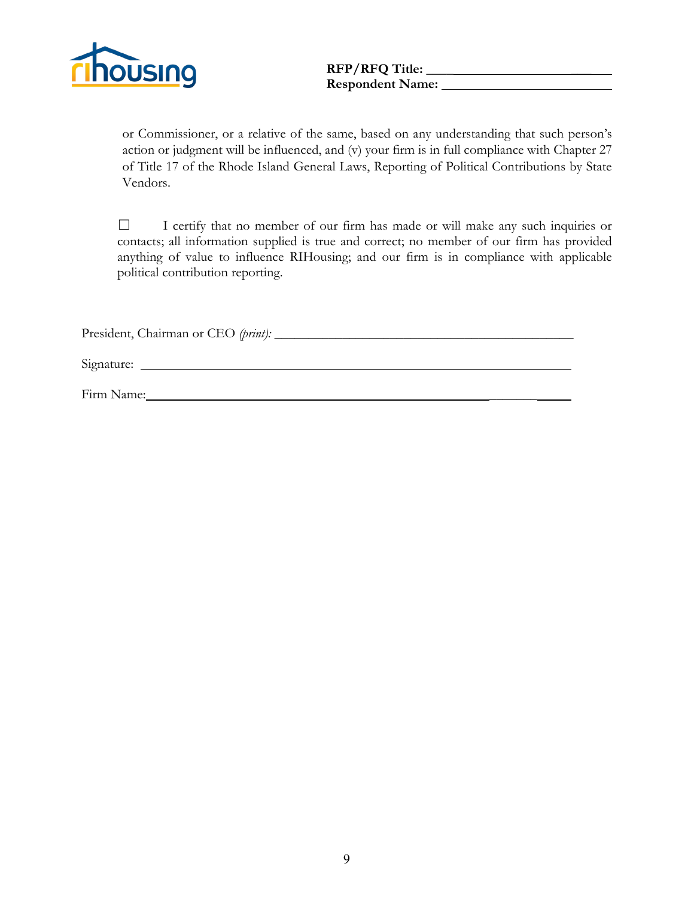

or Commissioner, or a relative of the same, based on any understanding that such person's action or judgment will be influenced, and (v) your firm is in full compliance with Chapter 27 of Title 17 of the Rhode Island General Laws, Reporting of Political Contributions by State Vendors.

☐ I certify that no member of our firm has made or will make any such inquiries or contacts; all information supplied is true and correct; no member of our firm has provided anything of value to influence RIHousing; and our firm is in compliance with applicable political contribution reporting.

President, Chairman or CEO (print):

Signature:

Firm Name: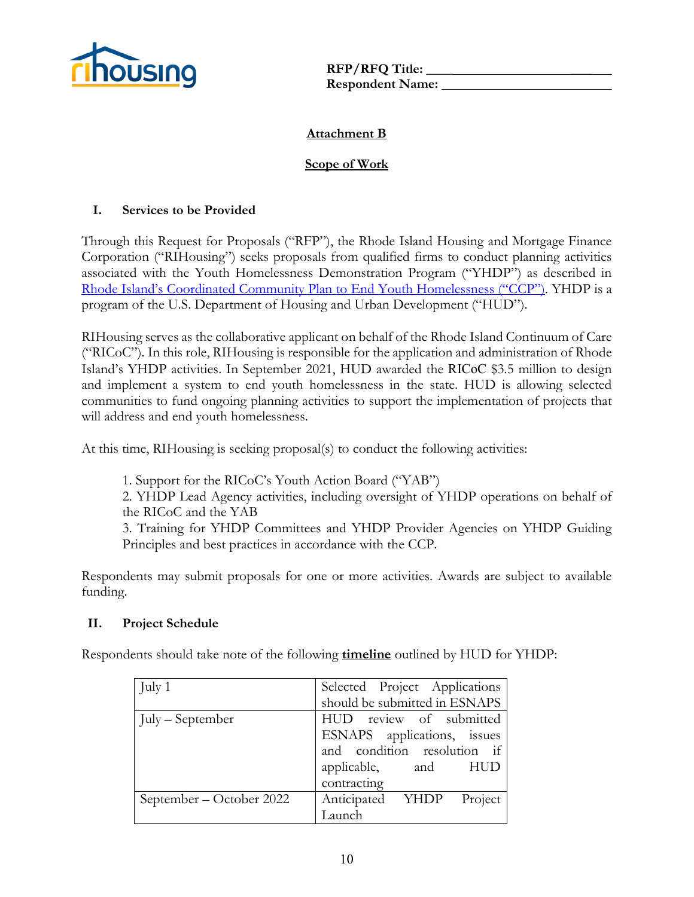

# **Attachment B**

# **Scope of Work**

# **I. Services to be Provided**

Through this Request for Proposals ("RFP"), the Rhode Island Housing and Mortgage Finance Corporation ("RIHousing") seeks proposals from qualified firms to conduct planning activities associated with the Youth Homelessness Demonstration Program ("YHDP") as described in [Rhode Island's Coordinated Community Plan to End Youth Homelessness](https://www.rihousing.com/wp-content/uploads/RI-500-YHDP-CCP_March-2022.pdf) ("CCP"). YHDP is a program of the U.S. Department of Housing and Urban Development ("HUD").

RIHousing serves as the collaborative applicant on behalf of the Rhode Island Continuum of Care ("RICoC"). In this role, RIHousing is responsible for the application and administration of Rhode Island's YHDP activities. In September 2021, HUD awarded the RICoC \$3.5 million to design and implement a system to end youth homelessness in the state. HUD is allowing selected communities to fund ongoing planning activities to support the implementation of projects that will address and end youth homelessness.

At this time, RIHousing is seeking proposal(s) to conduct the following activities:

1. Support for the RICoC's Youth Action Board ("YAB")

2. YHDP Lead Agency activities, including oversight of YHDP operations on behalf of the RICoC and the YAB

3. Training for YHDP Committees and YHDP Provider Agencies on YHDP Guiding Principles and best practices in accordance with the CCP.

Respondents may submit proposals for one or more activities. Awards are subject to available funding.

# **II. Project Schedule**

Respondents should take note of the following **timeline** outlined by HUD for YHDP:

| July 1                   | Selected Project Applications |
|--------------------------|-------------------------------|
|                          | should be submitted in ESNAPS |
| July – September         | HUD review of submitted       |
|                          | ESNAPS applications, issues   |
|                          | and condition resolution if   |
|                          | applicable, and HUD           |
|                          | contracting                   |
| September – October 2022 | Anticipated YHDP<br>Project   |
|                          | Launch                        |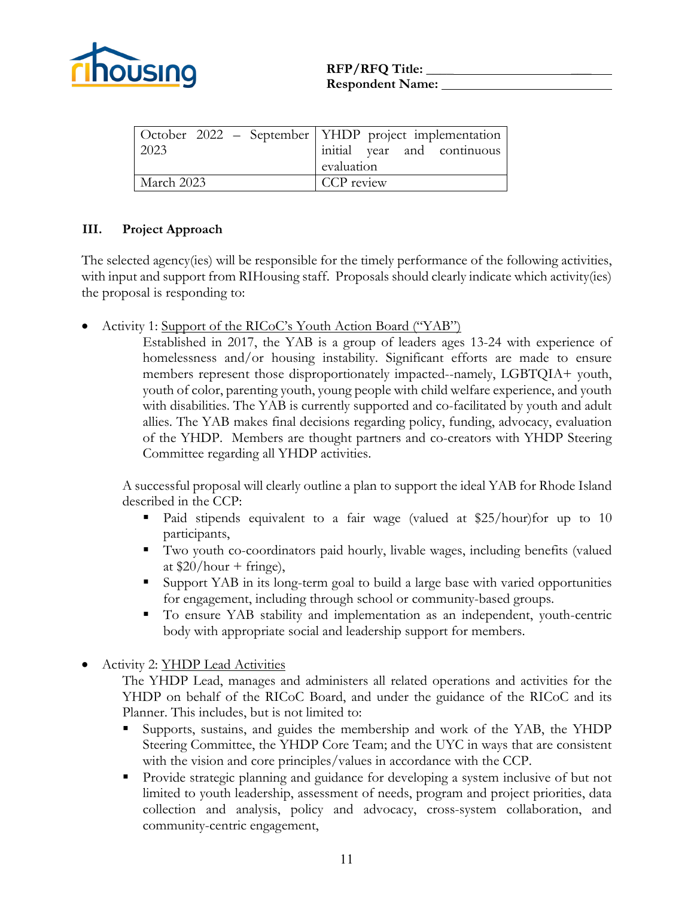

| 2023       | October 2022 – September   YHDP project implementation  <br>initial year and continuous<br>evaluation |
|------------|-------------------------------------------------------------------------------------------------------|
| March 2023 | CCP review                                                                                            |

# **III. Project Approach**

The selected agency(ies) will be responsible for the timely performance of the following activities, with input and support from RIHousing staff. Proposals should clearly indicate which activity(ies) the proposal is responding to:

• Activity 1: Support of the RICoC's Youth Action Board ("YAB")

Established in 2017, the YAB is a group of leaders ages 13-24 with experience of homelessness and/or housing instability. Significant efforts are made to ensure members represent those disproportionately impacted--namely, LGBTQIA+ youth, youth of color, parenting youth, young people with child welfare experience, and youth with disabilities. The YAB is currently supported and co-facilitated by youth and adult allies. The YAB makes final decisions regarding policy, funding, advocacy, evaluation of the YHDP. Members are thought partners and co-creators with YHDP Steering Committee regarding all YHDP activities.

A successful proposal will clearly outline a plan to support the ideal YAB for Rhode Island described in the CCP:

- Paid stipends equivalent to a fair wage (valued at \$25/hour)for up to 10 participants,
- Two youth co-coordinators paid hourly, livable wages, including benefits (valued at  $$20/hour + fringe$ ,
- Support YAB in its long-term goal to build a large base with varied opportunities for engagement, including through school or community-based groups.
- To ensure YAB stability and implementation as an independent, youth-centric body with appropriate social and leadership support for members.
- Activity 2: YHDP Lead Activities

The YHDP Lead, manages and administers all related operations and activities for the YHDP on behalf of the RICoC Board, and under the guidance of the RICoC and its Planner. This includes, but is not limited to:

- Supports, sustains, and guides the membership and work of the YAB, the YHDP Steering Committee, the YHDP Core Team; and the UYC in ways that are consistent with the vision and core principles/values in accordance with the CCP.
- **Provide strategic planning and guidance for developing a system inclusive of but not** limited to youth leadership, assessment of needs, program and project priorities, data collection and analysis, policy and advocacy, cross-system collaboration, and community-centric engagement,